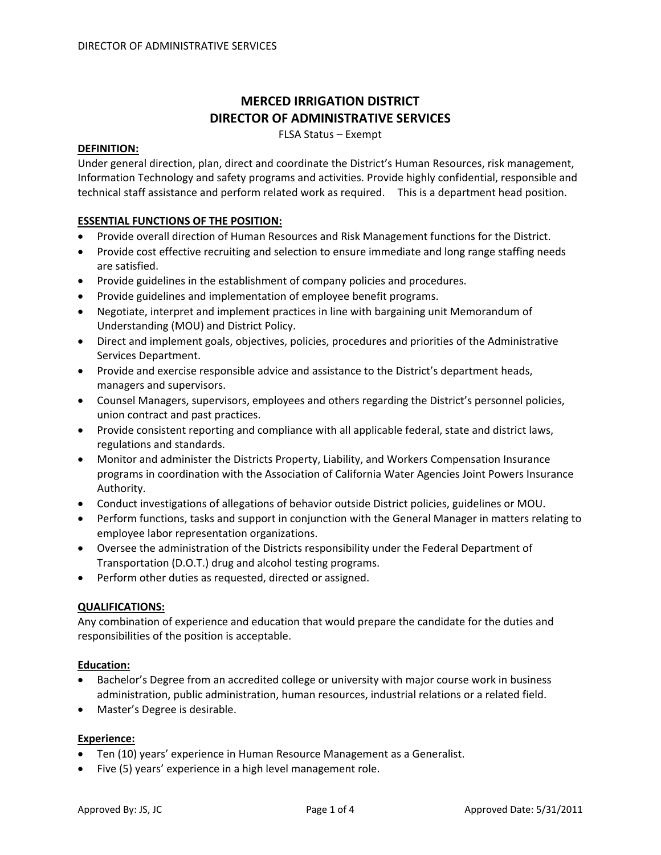# **MERCED IRRIGATION DISTRICT DIRECTOR OF ADMINISTRATIVE SERVICES**

FLSA Status – Exempt

## **DEFINITION:**

Under general direction, plan, direct and coordinate the District's Human Resources, risk management, Information Technology and safety programs and activities. Provide highly confidential, responsible and technical staff assistance and perform related work as required. This is a department head position.

## **ESSENTIAL FUNCTIONS OF THE POSITION:**

- Provide overall direction of Human Resources and Risk Management functions for the District.
- Provide cost effective recruiting and selection to ensure immediate and long range staffing needs are satisfied.
- Provide guidelines in the establishment of company policies and procedures.
- Provide guidelines and implementation of employee benefit programs.
- Negotiate, interpret and implement practices in line with bargaining unit Memorandum of Understanding (MOU) and District Policy.
- Direct and implement goals, objectives, policies, procedures and priorities of the Administrative Services Department.
- Provide and exercise responsible advice and assistance to the District's department heads, managers and supervisors.
- Counsel Managers, supervisors, employees and others regarding the District's personnel policies, union contract and past practices.
- Provide consistent reporting and compliance with all applicable federal, state and district laws, regulations and standards.
- Monitor and administer the Districts Property, Liability, and Workers Compensation Insurance programs in coordination with the Association of California Water Agencies Joint Powers Insurance Authority.
- Conduct investigations of allegations of behavior outside District policies, guidelines or MOU.
- Perform functions, tasks and support in conjunction with the General Manager in matters relating to employee labor representation organizations.
- Oversee the administration of the Districts responsibility under the Federal Department of Transportation (D.O.T.) drug and alcohol testing programs.
- Perform other duties as requested, directed or assigned.

#### **QUALIFICATIONS:**

Any combination of experience and education that would prepare the candidate for the duties and responsibilities of the position is acceptable.

#### **Education:**

- Bachelor's Degree from an accredited college or university with major course work in business administration, public administration, human resources, industrial relations or a related field.
- Master's Degree is desirable.

#### **Experience:**

- Ten (10) years' experience in Human Resource Management as a Generalist.
- Five (5) years' experience in a high level management role.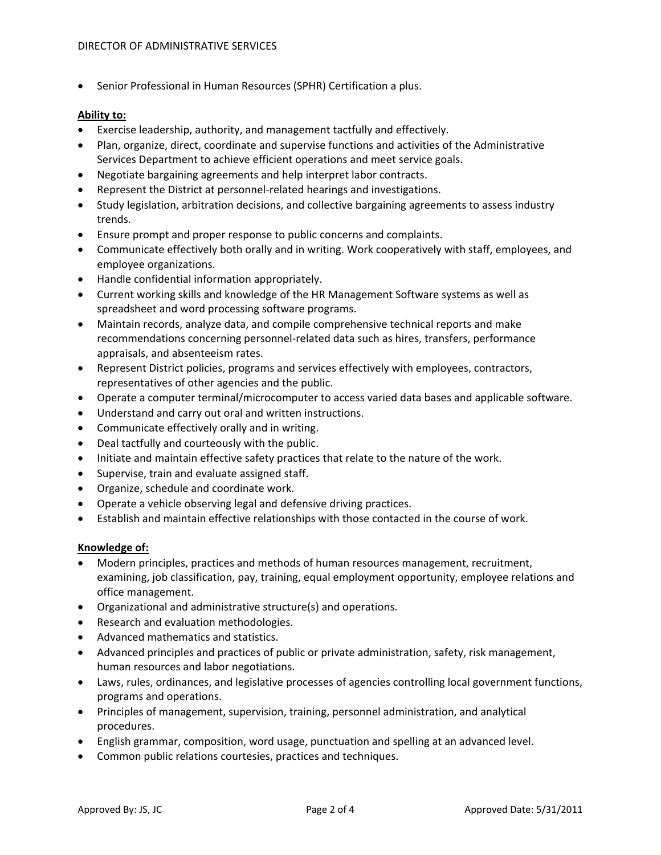• Senior Professional in Human Resources (SPHR) Certification a plus.

### **Ability to:**

- Exercise leadership, authority, and management tactfully and effectively.
- Plan, organize, direct, coordinate and supervise functions and activities of the Administrative Services Department to achieve efficient operations and meet service goals.
- Negotiate bargaining agreements and help interpret labor contracts.
- Represent the District at personnel‐related hearings and investigations.
- Study legislation, arbitration decisions, and collective bargaining agreements to assess industry trends.
- Ensure prompt and proper response to public concerns and complaints.
- Communicate effectively both orally and in writing. Work cooperatively with staff, employees, and employee organizations.
- Handle confidential information appropriately.
- Current working skills and knowledge of the HR Management Software systems as well as spreadsheet and word processing software programs.
- Maintain records, analyze data, and compile comprehensive technical reports and make recommendations concerning personnel‐related data such as hires, transfers, performance appraisals, and absenteeism rates.
- Represent District policies, programs and services effectively with employees, contractors, representatives of other agencies and the public.
- Operate a computer terminal/microcomputer to access varied data bases and applicable software.
- Understand and carry out oral and written instructions.
- Communicate effectively orally and in writing.
- Deal tactfully and courteously with the public.
- Initiate and maintain effective safety practices that relate to the nature of the work.
- Supervise, train and evaluate assigned staff.
- Organize, schedule and coordinate work.
- Operate a vehicle observing legal and defensive driving practices.
- Establish and maintain effective relationships with those contacted in the course of work.

#### **Knowledge of:**

- Modern principles, practices and methods of human resources management, recruitment, examining, job classification, pay, training, equal employment opportunity, employee relations and office management.
- Organizational and administrative structure(s) and operations.
- Research and evaluation methodologies.
- Advanced mathematics and statistics.
- Advanced principles and practices of public or private administration, safety, risk management, human resources and labor negotiations.
- Laws, rules, ordinances, and legislative processes of agencies controlling local government functions, programs and operations.
- Principles of management, supervision, training, personnel administration, and analytical procedures.
- English grammar, composition, word usage, punctuation and spelling at an advanced level.
- Common public relations courtesies, practices and techniques.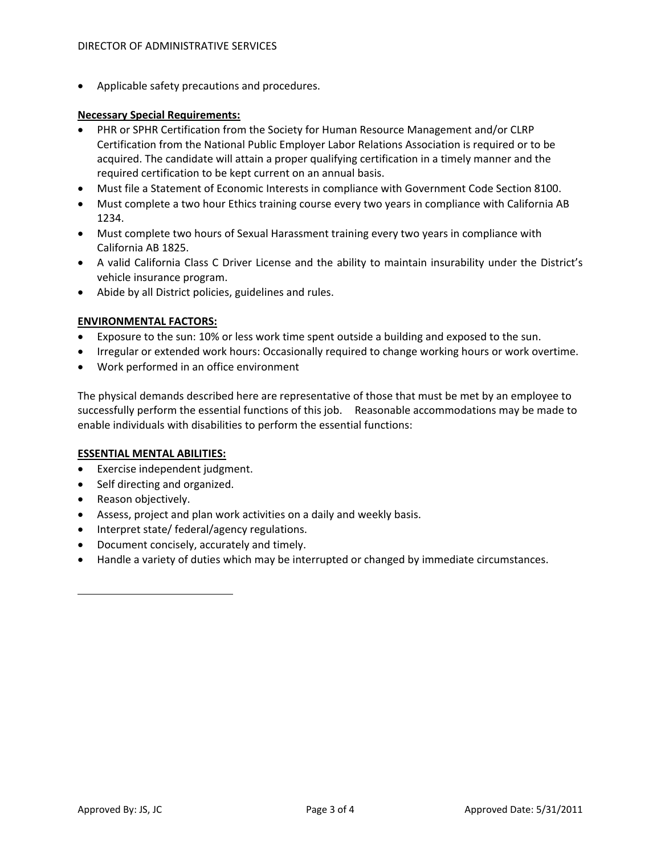• Applicable safety precautions and procedures.

## **Necessary Special Requirements:**

- PHR or SPHR Certification from the Society for Human Resource Management and/or CLRP Certification from the National Public Employer Labor Relations Association is required or to be acquired. The candidate will attain a proper qualifying certification in a timely manner and the required certification to be kept current on an annual basis.
- Must file a Statement of Economic Interests in compliance with Government Code Section 8100.
- Must complete a two hour Ethics training course every two years in compliance with California AB 1234.
- Must complete two hours of Sexual Harassment training every two years in compliance with California AB 1825.
- A valid California Class C Driver License and the ability to maintain insurability under the District's vehicle insurance program.
- Abide by all District policies, guidelines and rules.

## **ENVIRONMENTAL FACTORS:**

- Exposure to the sun: 10% or less work time spent outside a building and exposed to the sun.
- Irregular or extended work hours: Occasionally required to change working hours or work overtime.
- Work performed in an office environment

The physical demands described here are representative of those that must be met by an employee to successfully perform the essential functions of this job. Reasonable accommodations may be made to enable individuals with disabilities to perform the essential functions:

## **ESSENTIAL MENTAL ABILITIES:**

- Exercise independent judgment.
- Self directing and organized.
- Reason objectively.
- Assess, project and plan work activities on a daily and weekly basis.
- Interpret state/ federal/agency regulations.
- Document concisely, accurately and timely.
- Handle a variety of duties which may be interrupted or changed by immediate circumstances.